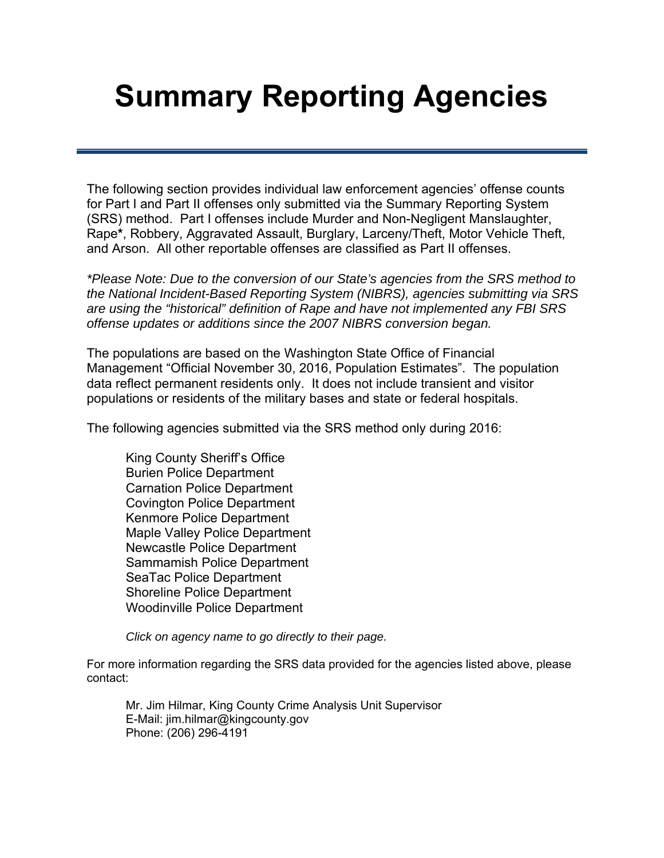# **Summary Reporting Agencies**

The following section provides individual law enforcement agencies' offense counts for Part I and Part II offenses only submitted via the Summary Reporting System (SRS) method. Part I offenses include Murder and Non-Negligent Manslaughter, Rape**\***, Robbery, Aggravated Assault, Burglary, Larceny/Theft, Motor Vehicle Theft, and Arson. All other reportable offenses are classified as Part II offenses.

*\*Please Note: Due to the conversion of our State's agencies from the SRS method to the National Incident-Based Reporting System (NIBRS), agencies submitting via SRS are using the "historical" definition of Rape and have not implemented any FBI SRS offense updates or additions since the 2007 NIBRS conversion began.* 

The populations are based on the Washington State Office of Financial Management "Official November 30, 2016, Population Estimates". The population data reflect permanent residents only. It does not include transient and visitor populations or residents of the military bases and state or federal hospitals.

The following agencies submitted via the SRS method only during 2016:

King County Sheriff's Office Burien Police Department Carnation Police Department Covington Police Department Kenmore Police Department Maple Valley Police Department Newcastle Police Department Sammamish Police Department SeaTac Police Department Shoreline Police Department Woodinville Police Department

*Click on agency name to go directly to their page.*

For more information regarding the SRS data provided for the agencies listed above, please contact:

Mr. Jim Hilmar, King County Crime Analysis Unit Supervisor E-Mail: jim.hilmar@kingcounty.gov Phone: (206) 296-4191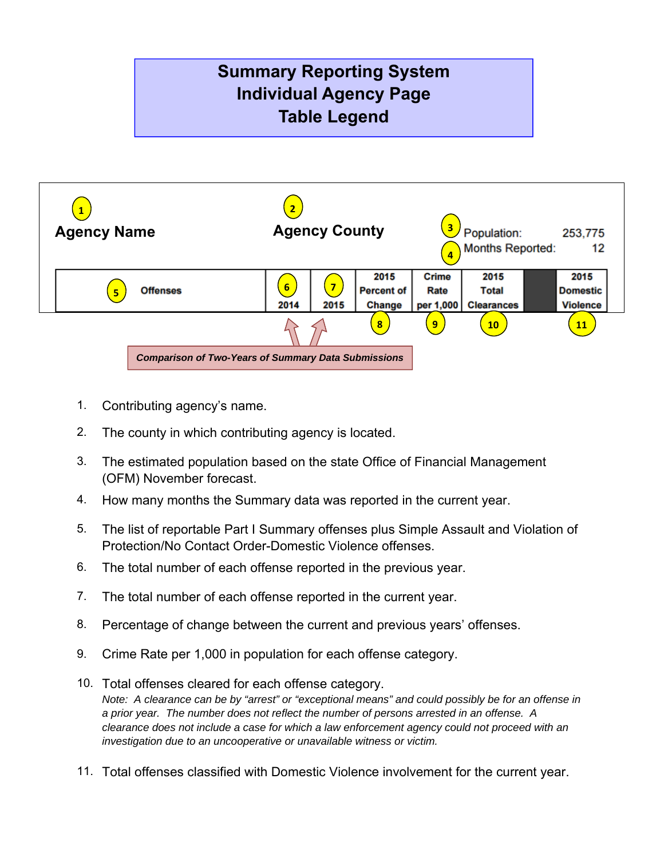## **Summary Reporting System Individual Agency Page Table Legend**



- 1. Contributing agency's name.
- 2. The county in which contributing agency is located.
- 3. The estimated population based on the state Office of Financial Management (OFM) November forecast.
- 4. How many months the Summary data was reported in the current year.
- 5. The list of reportable Part I Summary offenses plus Simple Assault and Violation of Protection/No Contact Order-Domestic Violence offenses.
- 6. The total number of each offense reported in the previous year.
- 7. The total number of each offense reported in the current year.
- 8. Percentage of change between the current and previous years' offenses.
- 9. Crime Rate per 1,000 in population for each offense category.
- 10. Total offenses cleared for each offense category. *Note: A clearance can be by "arrest" or "exceptional means" and could possibly be for an offense in a prior year. The number does not reflect the number of persons arrested in an offense. A clearance does not include a case for which a law enforcement agency could not proceed with an investigation due to an uncooperative or unavailable witness or victim.*
- 11. Total offenses classified with Domestic Violence involvement for the current year.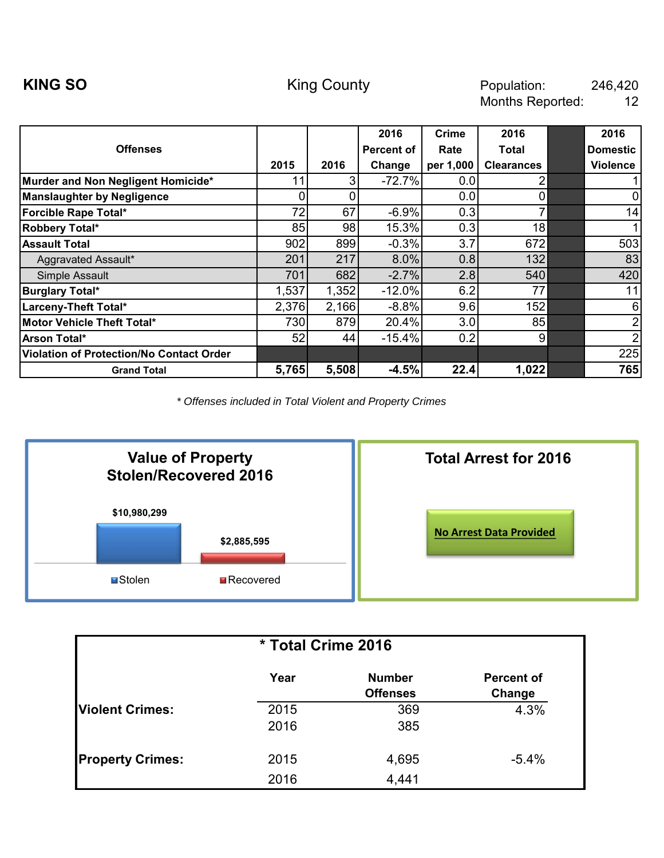|                                          |       |                | 2016              | <b>Crime</b> | 2016              | 2016            |
|------------------------------------------|-------|----------------|-------------------|--------------|-------------------|-----------------|
| <b>Offenses</b>                          |       |                | <b>Percent of</b> | Rate         | <b>Total</b>      | <b>Domestic</b> |
|                                          | 2015  | 2016           | Change            | per 1,000    | <b>Clearances</b> | <b>Violence</b> |
| Murder and Non Negligent Homicide*       | 11    | $\overline{3}$ | $-72.7%$          | 0.0          |                   |                 |
| <b>Manslaughter by Negligence</b>        |       |                |                   | 0.0          | 0                 | 0               |
| Forcible Rape Total*                     | 72    | 67             | $-6.9%$           | 0.3          |                   | 14              |
| Robbery Total*                           | 85    | 98             | 15.3%             | 0.3          | 18 <sup>1</sup>   | 1               |
| <b>Assault Total</b>                     | 902   | 899            | $-0.3%$           | 3.7          | 672               | 503             |
| Aggravated Assault*                      | 201   | 217            | 8.0%              | 0.8          | 132               | 83              |
| Simple Assault                           | 701   | 682            | $-2.7%$           | 2.8          | 540               | 420             |
| <b>Burglary Total*</b>                   | 1,537 | 1,352          | $-12.0%$          | 6.2          | 77                | 11              |
| Larceny-Theft Total*                     | 2,376 | 2,166          | $-8.8%$           | 9.6          | 152               | 6               |
| Motor Vehicle Theft Total*               | 730   | 879            | 20.4%             | 3.0          | 85                | $\overline{2}$  |
| Arson Total*                             | 52    | 44             | $-15.4%$          | 0.2          | 9                 | $\overline{2}$  |
| Violation of Protection/No Contact Order |       |                |                   |              |                   | 225             |
| <b>Grand Total</b>                       | 5,765 | 5,508          | $-4.5%$           | 22.4         | 1,022             | 765             |



| * Total Crime 2016      |      |                 |                   |  |  |  |  |  |
|-------------------------|------|-----------------|-------------------|--|--|--|--|--|
|                         | Year | <b>Number</b>   | <b>Percent of</b> |  |  |  |  |  |
|                         |      | <b>Offenses</b> | Change            |  |  |  |  |  |
| <b>Violent Crimes:</b>  | 2015 | 369             | 4.3%              |  |  |  |  |  |
|                         | 2016 | 385             |                   |  |  |  |  |  |
| <b>Property Crimes:</b> | 2015 | 4,695           | $-5.4%$           |  |  |  |  |  |
|                         | 2016 | 4,441           |                   |  |  |  |  |  |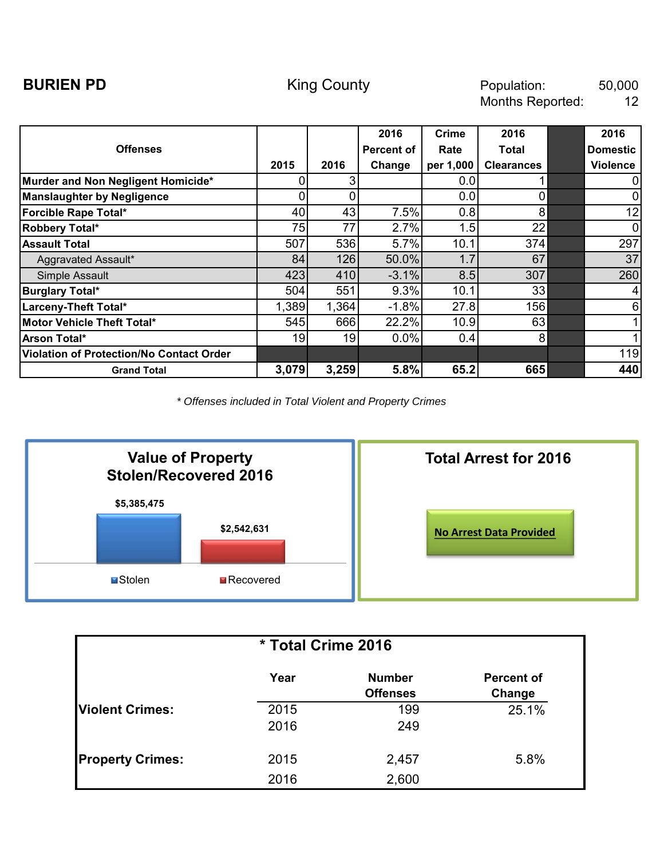|                                                 |       |       | 2016              | <b>Crime</b> | 2016              | 2016            |
|-------------------------------------------------|-------|-------|-------------------|--------------|-------------------|-----------------|
| <b>Offenses</b>                                 |       |       | <b>Percent of</b> | Rate         | Total             | <b>Domestic</b> |
|                                                 | 2015  | 2016  | Change            | per 1,000    | <b>Clearances</b> | <b>Violence</b> |
| Murder and Non Negligent Homicide*              | 0     | 3     |                   | 0.0          |                   | 0               |
| <b>Manslaughter by Negligence</b>               |       |       |                   | 0.0          | 0                 | $\mathbf 0$     |
| Forcible Rape Total*                            | 40    | 43    | 7.5%              | 0.8          | 8                 | 12              |
| Robbery Total*                                  | 75    | 77    | 2.7%              | 1.5          | 22                | $\mathbf 0$     |
| <b>Assault Total</b>                            | 507   | 536   | 5.7%              | 10.1         | 374               | 297             |
| Aggravated Assault*                             | 84    | 126   | 50.0%             | 1.7          | 67                | 37              |
| Simple Assault                                  | 423   | 410   | $-3.1%$           | 8.5          | 307               | 260             |
| <b>Burglary Total*</b>                          | 504   | 551   | 9.3%              | 10.1         | 33                | $\overline{4}$  |
| Larceny-Theft Total*                            | 1,389 | 1,364 | $-1.8%$           | 27.8         | 156               | 6               |
| Motor Vehicle Theft Total*                      | 545   | 666   | 22.2%             | 10.9         | 63                | 1               |
| Arson Total*                                    | 19    | 19    | 0.0%              | 0.4          | 8                 | 1               |
| <b>Violation of Protection/No Contact Order</b> |       |       |                   |              |                   | 119             |
| <b>Grand Total</b>                              | 3,079 | 3,259 | 5.8%              | 65.2         | 665               | 440             |



|                         | * Total Crime 2016 |                 |                   |  |  |  |  |  |
|-------------------------|--------------------|-----------------|-------------------|--|--|--|--|--|
|                         | Year               | <b>Number</b>   | <b>Percent of</b> |  |  |  |  |  |
|                         |                    | <b>Offenses</b> | Change            |  |  |  |  |  |
| <b>IViolent Crimes:</b> | 2015               | 199             | 25.1%             |  |  |  |  |  |
|                         | 2016               | 249             |                   |  |  |  |  |  |
| <b>Property Crimes:</b> | 2015               | 2,457           | 5.8%              |  |  |  |  |  |
|                         | 2016               | 2,600           |                   |  |  |  |  |  |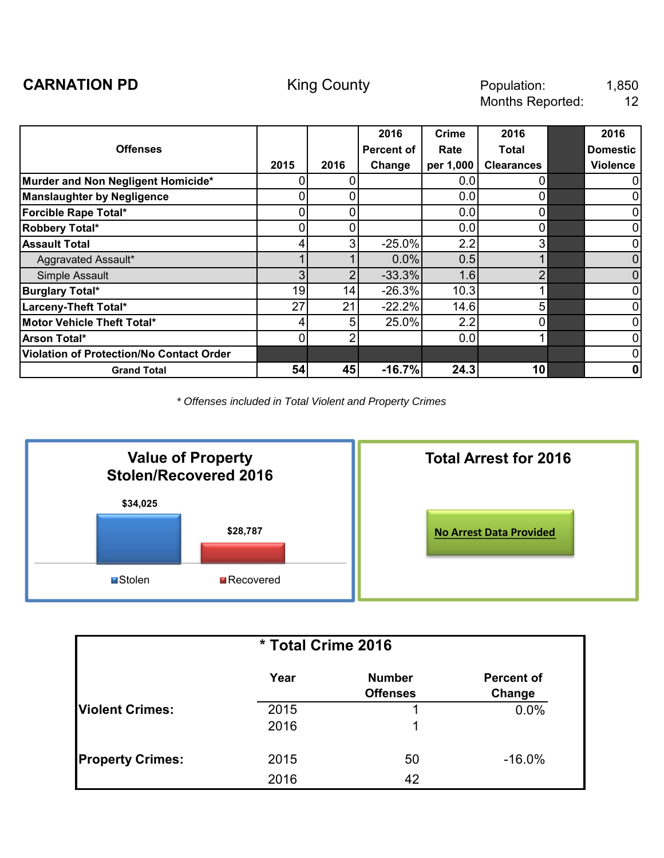|                                                 |                |      | 2016              | <b>Crime</b> | 2016              | 2016            |
|-------------------------------------------------|----------------|------|-------------------|--------------|-------------------|-----------------|
| <b>Offenses</b>                                 |                |      | <b>Percent of</b> | Rate         | Total             | <b>Domestic</b> |
|                                                 | 2015           | 2016 | Change            | per 1,000    | <b>Clearances</b> | <b>Violence</b> |
| Murder and Non Negligent Homicide*              | 0              |      |                   | 0.0          | $\mathbf 0$       | 0               |
| <b>Manslaughter by Negligence</b>               |                |      |                   | 0.0          | 0                 | 0               |
| Forcible Rape Total*                            | 0              | 0    |                   | 0.0          | $\overline{0}$    | 0               |
| Robbery Total*                                  | 0              | 0    |                   | 0.0          | $\overline{0}$    | 0               |
| <b>Assault Total</b>                            |                | 3    | $-25.0%$          | 2.2          | 3                 | 0               |
| Aggravated Assault*                             |                |      | 0.0%              | 0.5          |                   | 0               |
| Simple Assault                                  | 3 <sub>l</sub> | ⌒    | $-33.3%$          | 1.6          | $\overline{2}$    | 0               |
| <b>Burglary Total*</b>                          | 19             | 14   | $-26.3%$          | 10.3         |                   | 0               |
| Larceny-Theft Total*                            | 27             | 21   | $-22.2%$          | 14.6         | 5                 | 0               |
| Motor Vehicle Theft Total*                      | 4              | 5    | 25.0%             | 2.2          | $\overline{0}$    | 0               |
| Arson Total*                                    | 0              | 2    |                   | 0.0          |                   | 0               |
| <b>Violation of Protection/No Contact Order</b> |                |      |                   |              |                   | 0               |
| <b>Grand Total</b>                              | 54             | 45   | $-16.7%$          | 24.3         | 10 <sup>1</sup>   | $\mathbf 0$     |



| * Total Crime 2016      |      |                 |                   |  |  |  |  |  |
|-------------------------|------|-----------------|-------------------|--|--|--|--|--|
|                         | Year | <b>Number</b>   | <b>Percent of</b> |  |  |  |  |  |
|                         |      | <b>Offenses</b> | Change            |  |  |  |  |  |
| <b>IViolent Crimes:</b> | 2015 |                 | 0.0%              |  |  |  |  |  |
|                         | 2016 | 1               |                   |  |  |  |  |  |
| <b>Property Crimes:</b> | 2015 | 50              | $-16.0%$          |  |  |  |  |  |
|                         | 2016 | 42              |                   |  |  |  |  |  |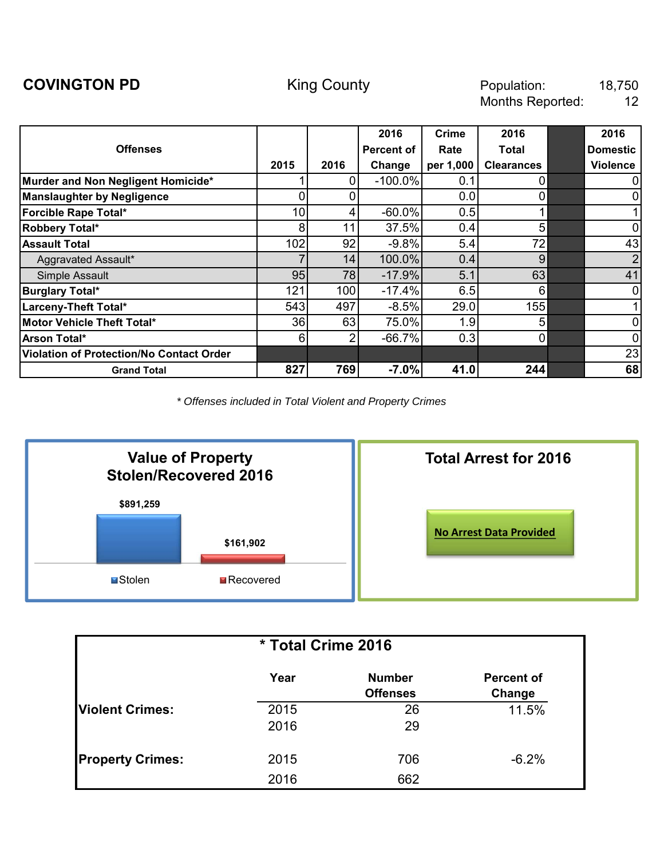|                                                 |                 |      | 2016              | Crime     | 2016              | 2016            |
|-------------------------------------------------|-----------------|------|-------------------|-----------|-------------------|-----------------|
| <b>Offenses</b>                                 |                 |      | <b>Percent of</b> | Rate      | Total             | <b>Domestic</b> |
|                                                 | 2015            | 2016 | Change            | per 1,000 | <b>Clearances</b> | <b>Violence</b> |
| Murder and Non Negligent Homicide*              |                 | 0    | $-100.0\%$        | 0.1       | 0                 | $\mathbf 0$     |
| <b>Manslaughter by Negligence</b>               |                 |      |                   | 0.0       |                   | $\overline{0}$  |
| Forcible Rape Total*                            | 10 <sup>1</sup> | 4    | $-60.0%$          | 0.5       |                   |                 |
| Robbery Total*                                  | 8               | 11   | 37.5%             | 0.4       | 5                 | $\mathbf 0$     |
| <b>Assault Total</b>                            | 102             | 92   | $-9.8%$           | 5.4       | 72                | 43              |
| Aggravated Assault*                             |                 | 14   | 100.0%            | 0.4       | 9                 | $\overline{2}$  |
| Simple Assault                                  | 95              | 78   | $-17.9%$          | 5.1       | 63                | 41              |
| <b>Burglary Total*</b>                          | 121             | 100  | $-17.4%$          | 6.5       | 6                 | $\overline{0}$  |
| Larceny-Theft Total*                            | 543             | 497  | $-8.5%$           | 29.0      | 155               | 1               |
| Motor Vehicle Theft Total*                      | 36              | 63   | 75.0%             | 1.9       | 5                 | $\overline{0}$  |
| Arson Total*                                    | 6               | 2    | $-66.7%$          | 0.3       | $\mathbf 0$       | $\overline{0}$  |
| <b>Violation of Protection/No Contact Order</b> |                 |      |                   |           |                   | 23              |
| <b>Grand Total</b>                              | 827             | 769  | $-7.0%$           | 41.0      | 244               | 68              |



| * Total Crime 2016      |      |                 |                   |  |  |  |  |  |
|-------------------------|------|-----------------|-------------------|--|--|--|--|--|
|                         | Year | <b>Number</b>   | <b>Percent of</b> |  |  |  |  |  |
|                         |      | <b>Offenses</b> | Change            |  |  |  |  |  |
| <b>IViolent Crimes:</b> | 2015 | 26              | 11.5%             |  |  |  |  |  |
|                         | 2016 | 29              |                   |  |  |  |  |  |
| <b>Property Crimes:</b> | 2015 | 706             | $-6.2%$           |  |  |  |  |  |
|                         | 2016 | 662             |                   |  |  |  |  |  |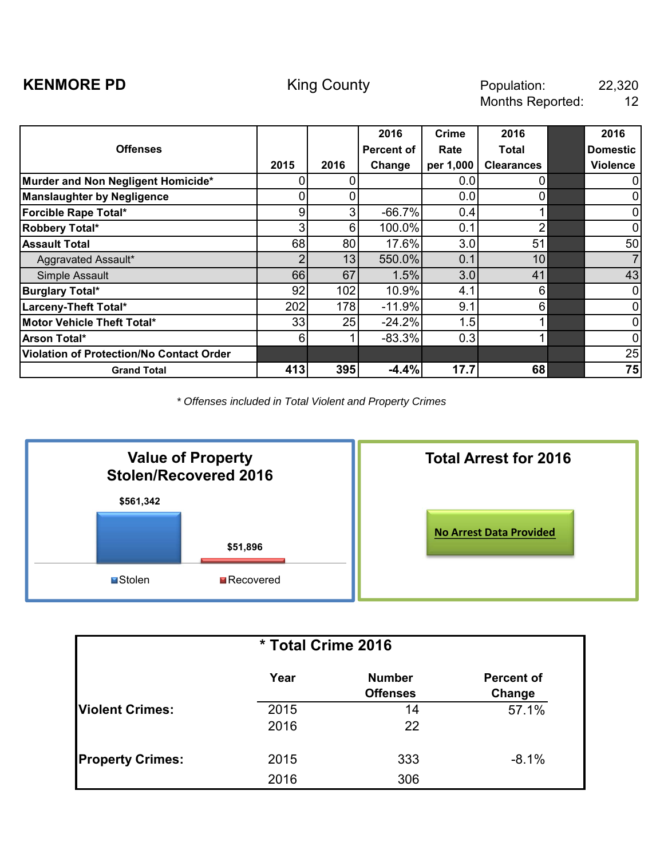|                                                 |                |          | 2016              | <b>Crime</b> | 2016              | 2016            |
|-------------------------------------------------|----------------|----------|-------------------|--------------|-------------------|-----------------|
| <b>Offenses</b>                                 |                |          | <b>Percent of</b> | Rate         | Total             | <b>Domestic</b> |
|                                                 | 2015           | 2016     | Change            | per 1,000    | <b>Clearances</b> | <b>Violence</b> |
| Murder and Non Negligent Homicide*              | 0              | 0        |                   | 0.0          | $\mathbf 0$       | 0               |
| <b>Manslaughter by Negligence</b>               |                |          |                   | 0.0          | $\Omega$          | 0               |
| <b>Forcible Rape Total*</b>                     | 9              | 3        | $-66.7%$          | 0.4          |                   | 0               |
| Robbery Total*                                  | 3 <sup>1</sup> | $6 \mid$ | 100.0%            | 0.1          | $\overline{2}$    | 0               |
| <b>Assault Total</b>                            | 68             | 80       | 17.6%             | 3.0          | 51                | 50              |
| Aggravated Assault*                             |                | 13       | 550.0%            | 0.1          | 10                | $\overline{7}$  |
| Simple Assault                                  | 66             | 67       | 1.5%              | 3.0          | 41                | 43              |
| <b>Burglary Total*</b>                          | 92             | 102      | 10.9%             | 4.1          | 6                 | 0               |
| Larceny-Theft Total*                            | 202            | 178      | $-11.9%$          | 9.1          | 6                 | $\mathbf 0$     |
| Motor Vehicle Theft Total*                      | 33             | 25       | $-24.2%$          | 1.5          |                   | $\mathbf 0$     |
| Arson Total*                                    | 6 <sup>1</sup> |          | $-83.3%$          | 0.3          |                   | 0               |
| <b>Violation of Protection/No Contact Order</b> |                |          |                   |              |                   | 25              |
| <b>Grand Total</b>                              | 413            | 395      | $-4.4%$           | 17.7         | 68                | 75              |



| * Total Crime 2016      |      |                 |                   |  |  |  |  |  |
|-------------------------|------|-----------------|-------------------|--|--|--|--|--|
|                         | Year | <b>Number</b>   | <b>Percent of</b> |  |  |  |  |  |
|                         |      | <b>Offenses</b> | Change            |  |  |  |  |  |
| <b>Violent Crimes:</b>  | 2015 | 14              | 57.1%             |  |  |  |  |  |
|                         | 2016 | 22              |                   |  |  |  |  |  |
| <b>Property Crimes:</b> | 2015 | 333             | $-8.1%$           |  |  |  |  |  |
|                         | 2016 | 306             |                   |  |  |  |  |  |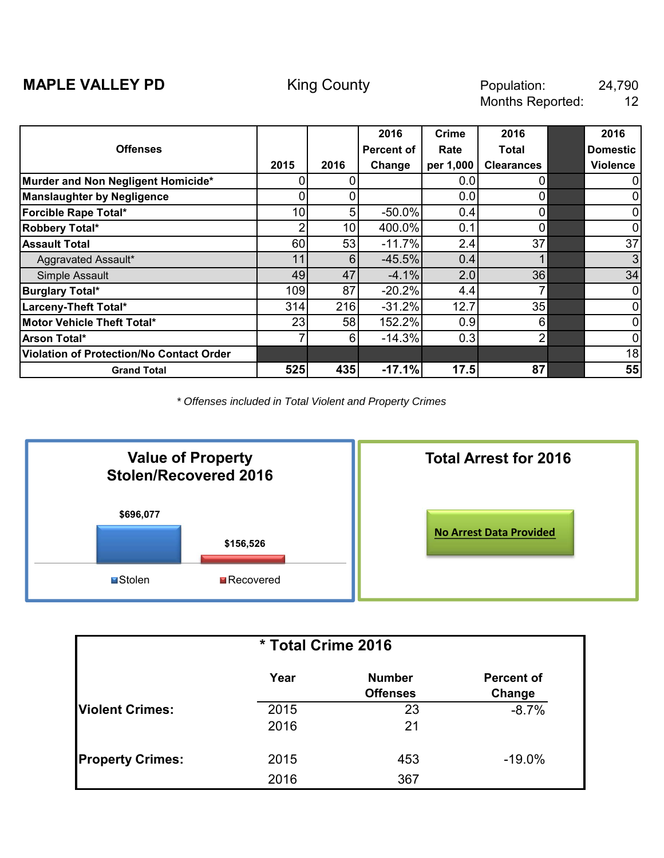|                                          |      |                 | 2016              | Crime     | 2016              | 2016            |
|------------------------------------------|------|-----------------|-------------------|-----------|-------------------|-----------------|
| <b>Offenses</b>                          |      |                 | <b>Percent of</b> | Rate      | Total             | <b>Domestic</b> |
|                                          | 2015 | 2016            | Change            | per 1,000 | <b>Clearances</b> | <b>Violence</b> |
| Murder and Non Negligent Homicide*       | 0    |                 |                   | 0.0       | $\overline{0}$    | 0               |
| <b>Manslaughter by Negligence</b>        | 0    | 0               |                   | 0.0       | $\Omega$          | 0               |
| Forcible Rape Total*                     | 10   | 5               | $-50.0%$          | 0.4       | $\overline{0}$    | 0               |
| Robbery Total*                           | ⌒    | 10 <sup>1</sup> | 400.0%            | 0.1       | $\overline{0}$    | 0               |
| <b>Assault Total</b>                     | 60   | 53              | $-11.7%$          | 2.4       | 37                | 37              |
| Aggravated Assault*                      | 11   | 6               | $-45.5%$          | 0.4       |                   | $\mathbf{3}$    |
| Simple Assault                           | 49   | 47              | $-4.1%$           | 2.0       | 36                | 34              |
| <b>Burglary Total*</b>                   | 109  | 87              | $-20.2%$          | 4.4       |                   | 0               |
| Larceny-Theft Total*                     | 314  | 216             | $-31.2%$          | 12.7      | 35                | $\mathbf 0$     |
| Motor Vehicle Theft Total*               | 23   | 58              | 152.2%            | 0.9       | 6 <sup>1</sup>    | $\mathbf 0$     |
| <b>Arson Total*</b>                      |      | 6               | $-14.3%$          | 0.3       | $\overline{2}$    | 0               |
| Violation of Protection/No Contact Order |      |                 |                   |           |                   | 18              |
| <b>Grand Total</b>                       | 525  | 435             | $-17.1%$          | 17.5      | 87                | 55              |



| * Total Crime 2016      |      |                 |                   |  |  |  |  |  |
|-------------------------|------|-----------------|-------------------|--|--|--|--|--|
|                         | Year | <b>Number</b>   | <b>Percent of</b> |  |  |  |  |  |
|                         |      | <b>Offenses</b> | Change            |  |  |  |  |  |
| <b>IViolent Crimes:</b> | 2015 | 23              | $-8.7%$           |  |  |  |  |  |
|                         | 2016 | 21              |                   |  |  |  |  |  |
| <b>Property Crimes:</b> | 2015 | 453             | $-19.0%$          |  |  |  |  |  |
|                         | 2016 | 367             |                   |  |  |  |  |  |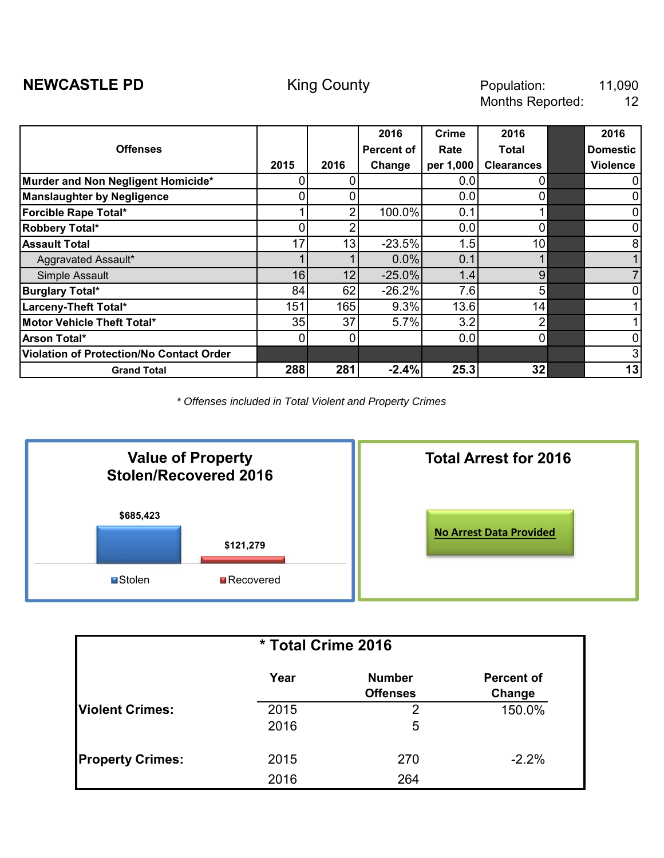|                                                 |      |      | 2016              | <b>Crime</b> | 2016              | 2016            |
|-------------------------------------------------|------|------|-------------------|--------------|-------------------|-----------------|
| <b>Offenses</b>                                 |      |      | <b>Percent of</b> | Rate         | Total             | <b>Domestic</b> |
|                                                 | 2015 | 2016 | Change            | per 1,000    | <b>Clearances</b> | <b>Violence</b> |
| Murder and Non Negligent Homicide*              | 0    |      |                   | 0.0          | $\Omega$          | 0               |
| <b>Manslaughter by Negligence</b>               |      |      |                   | 0.0          | $\Omega$          | 0               |
| Forcible Rape Total*                            |      |      | 100.0%            | 0.1          |                   | 0               |
| Robbery Total*                                  | 0    |      |                   | 0.0          | $\mathbf{0}$      | 0               |
| <b>Assault Total</b>                            | 17   | 13   | $-23.5%$          | 1.5          | 10 <sub>l</sub>   | 8               |
| Aggravated Assault*                             |      |      | 0.0%              | 0.1          |                   | 1               |
| Simple Assault                                  | 16   | 12   | $-25.0%$          | 1.4          | $\overline{9}$    | $\overline{7}$  |
| <b>Burglary Total*</b>                          | 84   | 62   | $-26.2%$          | 7.6          | 5 <sub>1</sub>    | 0               |
| Larceny-Theft Total*                            | 151  | 165  | 9.3%              | 13.6         | 14                |                 |
| Motor Vehicle Theft Total*                      | 35   | 37   | 5.7%              | 3.2          | 2                 |                 |
| Arson Total*                                    | 0    | 0    |                   | 0.0          | $\overline{0}$    | 0               |
| <b>Violation of Protection/No Contact Order</b> |      |      |                   |              |                   | 3               |
| <b>Grand Total</b>                              | 288  | 281  | $-2.4%$           | 25.3         | 32                | 13              |



| * Total Crime 2016      |              |                                  |                             |  |  |  |  |
|-------------------------|--------------|----------------------------------|-----------------------------|--|--|--|--|
|                         | Year         | <b>Number</b><br><b>Offenses</b> | <b>Percent of</b><br>Change |  |  |  |  |
| <b>Violent Crimes:</b>  | 2015<br>2016 | 2<br>5                           | 150.0%                      |  |  |  |  |
| <b>Property Crimes:</b> | 2015<br>2016 | 270<br>264                       | $-2.2%$                     |  |  |  |  |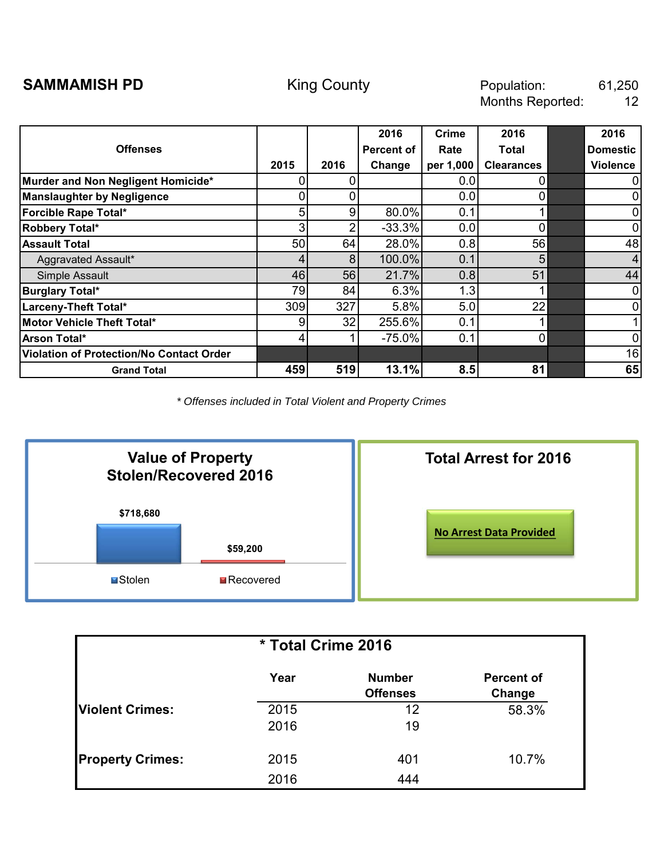|                                                 |                |      | 2016              | <b>Crime</b> | 2016              | 2016            |
|-------------------------------------------------|----------------|------|-------------------|--------------|-------------------|-----------------|
| <b>Offenses</b>                                 |                |      | <b>Percent of</b> | Rate         | Total             | <b>Domestic</b> |
|                                                 | 2015           | 2016 | Change            | per 1,000    | <b>Clearances</b> | <b>Violence</b> |
| Murder and Non Negligent Homicide*              | 0              |      |                   | 0.0          | $\Omega$          | 0               |
| <b>Manslaughter by Negligence</b>               |                |      |                   | 0.0          | $\Omega$          | 0               |
| Forcible Rape Total*                            | 5              | 9    | 80.0%             | 0.1          |                   | 0               |
| Robbery Total*                                  | 3 <sup>1</sup> | ኅ    | $-33.3%$          | 0.0          | $\mathbf{0}$      | $\mathbf 0$     |
| <b>Assault Total</b>                            | 50             | 64   | 28.0%             | 0.8          | 56                | 48              |
| Aggravated Assault*                             |                | 8    | 100.0%            | 0.1          | 5                 | $\overline{4}$  |
| Simple Assault                                  | 46             | 56   | 21.7%             | 0.8          | 51                | 44              |
| <b>Burglary Total*</b>                          | 79             | 84   | 6.3%              | 1.31         |                   | 0               |
| Larceny-Theft Total*                            | 309            | 327  | 5.8%              | 5.0          | 22                | $\mathbf 0$     |
| Motor Vehicle Theft Total*                      | 9              | 32   | 255.6%            | 0.1          |                   | 1               |
| Arson Total*                                    | 4              |      | $-75.0%$          | 0.1          | $\overline{0}$    | 0               |
| <b>Violation of Protection/No Contact Order</b> |                |      |                   |              |                   | 16              |
| <b>Grand Total</b>                              | 459            | 519  | 13.1%             | 8.5          | 81                | 65              |



| * Total Crime 2016      |      |                       |                   |  |  |  |  |
|-------------------------|------|-----------------------|-------------------|--|--|--|--|
|                         | Year | <b>Number</b>         | <b>Percent of</b> |  |  |  |  |
| <b>IViolent Crimes:</b> | 2015 | <b>Offenses</b><br>12 | Change<br>58.3%   |  |  |  |  |
|                         | 2016 | 19                    |                   |  |  |  |  |
| <b>Property Crimes:</b> | 2015 | 401                   | 10.7%             |  |  |  |  |
|                         | 2016 | 444                   |                   |  |  |  |  |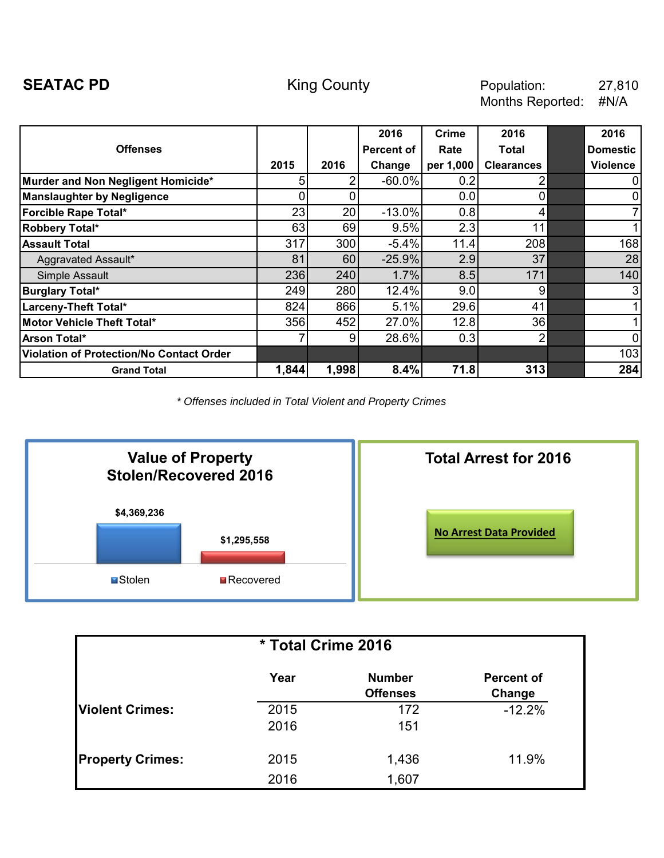|                                                 |       |       | 2016              | <b>Crime</b> | 2016              | 2016            |
|-------------------------------------------------|-------|-------|-------------------|--------------|-------------------|-----------------|
| <b>Offenses</b>                                 |       |       | <b>Percent of</b> | Rate         | Total             | <b>Domestic</b> |
|                                                 | 2015  | 2016  | Change            | per 1,000    | <b>Clearances</b> | <b>Violence</b> |
| Murder and Non Negligent Homicide*              | 51    |       | $-60.0\%$         | 0.2          |                   | $\mathbf 0$     |
| <b>Manslaughter by Negligence</b>               | 0     |       |                   | 0.0          | 0                 | $\overline{0}$  |
| Forcible Rape Total*                            | 23    | 20    | $-13.0%$          | 0.8          | 4                 | $\overline{7}$  |
| Robbery Total*                                  | 63    | 69    | 9.5%              | 2.3          | 11                | 1               |
| <b>Assault Total</b>                            | 317   | 300   | $-5.4%$           | 11.4         | 208               | 168             |
| Aggravated Assault*                             | 81    | 60    | $-25.9%$          | 2.9          | 37                | 28              |
| Simple Assault                                  | 236   | 240   | 1.7%              | 8.5          | 171               | 140             |
| <b>Burglary Total*</b>                          | 249   | 280   | 12.4%             | 9.0          | 9                 | 3               |
| Larceny-Theft Total*                            | 824   | 866   | 5.1%              | 29.6         | 41                | 1               |
| Motor Vehicle Theft Total*                      | 356   | 452   | 27.0%             | 12.8         | 36                |                 |
| Arson Total*                                    |       | 9     | 28.6%             | 0.3          | 2                 | $\mathbf 0$     |
| <b>Violation of Protection/No Contact Order</b> |       |       |                   |              |                   | 103             |
| <b>Grand Total</b>                              | 1,844 | 1,998 | 8.4%              | 71.8         | 313               | 284             |



| * Total Crime 2016      |      |                                  |                             |  |  |  |  |  |
|-------------------------|------|----------------------------------|-----------------------------|--|--|--|--|--|
|                         | Year | <b>Number</b><br><b>Offenses</b> | <b>Percent of</b><br>Change |  |  |  |  |  |
| <b>Violent Crimes:</b>  | 2015 | 172                              | $-12.2%$                    |  |  |  |  |  |
|                         | 2016 | 151                              |                             |  |  |  |  |  |
| <b>Property Crimes:</b> | 2015 | 1,436                            | 11.9%                       |  |  |  |  |  |
|                         | 2016 | 1,607                            |                             |  |  |  |  |  |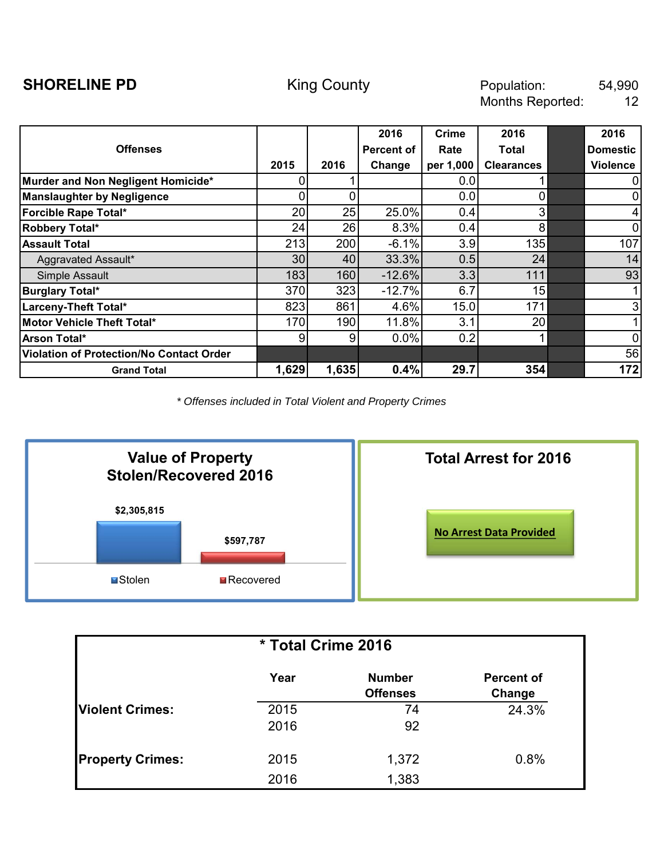|                                          |                 |            | 2016              | <b>Crime</b> | 2016              | 2016            |
|------------------------------------------|-----------------|------------|-------------------|--------------|-------------------|-----------------|
| <b>Offenses</b>                          |                 |            | <b>Percent of</b> | Rate         | Total             | <b>Domestic</b> |
|                                          | 2015            | 2016       | Change            | per 1,000    | <b>Clearances</b> | <b>Violence</b> |
| Murder and Non Negligent Homicide*       | O               |            |                   | 0.0          |                   | $\mathbf 0$     |
| <b>Manslaughter by Negligence</b>        |                 |            |                   | 0.0          | 0                 | $\overline{0}$  |
| Forcible Rape Total*                     | 20 <sub>l</sub> | 25         | 25.0%             | 0.4          | 3                 | $\overline{4}$  |
| Robbery Total*                           | 24              | 26         | 8.3%              | 0.4          | 8                 | $\mathbf 0$     |
| <b>Assault Total</b>                     | 213             | 200        | $-6.1%$           | 3.9          | 135               | 107             |
| Aggravated Assault*                      | 30 <sub>l</sub> | 40         | 33.3%             | 0.5          | 24                | 14              |
| Simple Assault                           | 183             | <b>160</b> | $-12.6%$          | 3.3          | 111               | 93              |
| <b>Burglary Total*</b>                   | 370             | 323        | $-12.7%$          | 6.7          | 15                |                 |
| Larceny-Theft Total*                     | 823             | 861        | 4.6%              | 15.0         | 171               | 3               |
| Motor Vehicle Theft Total*               | 170             | 190        | 11.8%             | 3.1          | 20                | 1               |
| Arson Total*                             | $\overline{9}$  | 9          | 0.0%              | 0.2          |                   | $\mathbf 0$     |
| Violation of Protection/No Contact Order |                 |            |                   |              |                   | 56              |
| <b>Grand Total</b>                       | 1,629           | 1,635      | 0.4%              | 29.7         | 354               | 172             |



| * Total Crime 2016      |      |                                  |                             |  |  |  |  |
|-------------------------|------|----------------------------------|-----------------------------|--|--|--|--|
|                         | Year | <b>Number</b><br><b>Offenses</b> | <b>Percent of</b><br>Change |  |  |  |  |
| <b>Violent Crimes:</b>  | 2015 | 74                               | 24.3%                       |  |  |  |  |
|                         | 2016 | 92                               |                             |  |  |  |  |
| <b>Property Crimes:</b> | 2015 | 1,372                            | 0.8%                        |  |  |  |  |
|                         | 2016 | 1,383                            |                             |  |  |  |  |